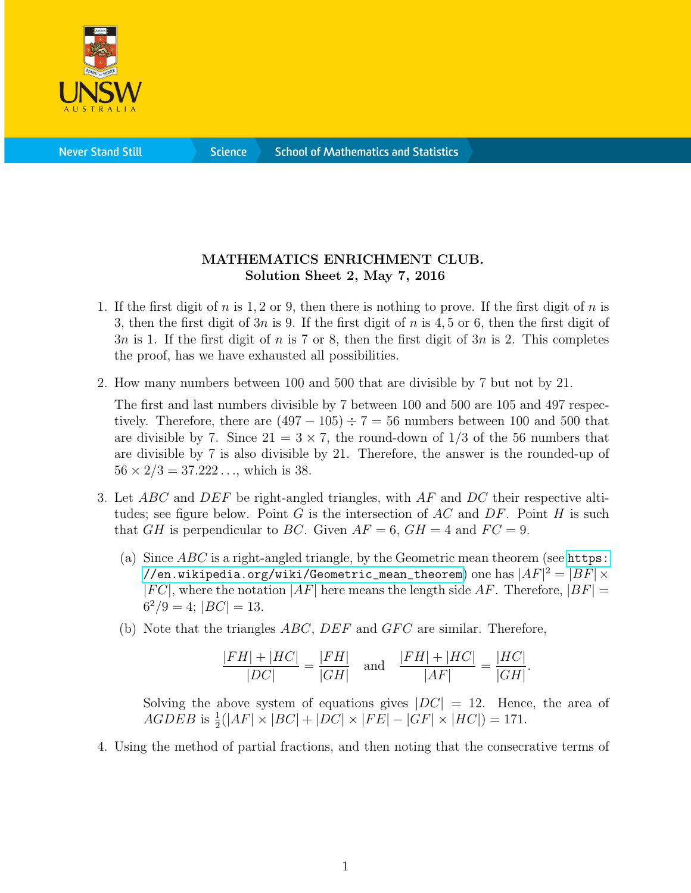

**Science** 

## MATHEMATICS ENRICHMENT CLUB. Solution Sheet 2, May 7, 2016

- 1. If the first digit of n is 1, 2 or 9, then there is nothing to prove. If the first digit of n is 3, then the first digit of 3n is 9. If the first digit of n is 4, 5 or 6, then the first digit of  $3n$  is 1. If the first digit of n is 7 or 8, then the first digit of  $3n$  is 2. This completes the proof, has we have exhausted all possibilities.
- 2. How many numbers between 100 and 500 that are divisible by 7 but not by 21.

The first and last numbers divisible by 7 between 100 and 500 are 105 and 497 respectively. Therefore, there are  $(497 - 105) \div 7 = 56$  numbers between 100 and 500 that are divisible by 7. Since  $21 = 3 \times 7$ , the round-down of  $1/3$  of the 56 numbers that are divisible by 7 is also divisible by 21. Therefore, the answer is the rounded-up of  $56 \times 2/3 = 37.222...$ , which is 38.

- 3. Let  $ABC$  and  $DEF$  be right-angled triangles, with  $AF$  and  $DC$  their respective altitudes; see figure below. Point  $G$  is the intersection of  $AC$  and  $DF$ . Point  $H$  is such that GH is perpendicular to BC. Given  $AF = 6$ ,  $GH = 4$  and  $FC = 9$ .
	- (a) Since  $ABC$  is a right-angled triangle, by the Geometric mean theorem (see [https:](https://en.wikipedia.org/wiki/Geometric_mean_theorem) [//en.wikipedia.org/wiki/Geometric\\_mean\\_theorem](https://en.wikipedia.org/wiki/Geometric_mean_theorem)) one has  $|AF|^2 = |BF| \times$  $|FC|$ , where the notation  $|AF|$  here means the length side AF. Therefore,  $|BF|$  =  $6^2/9 = 4$ ;  $|BC| = 13$ .
	- (b) Note that the triangles  $ABC$ ,  $DEF$  and  $GFC$  are similar. Therefore,

$$
\frac{|FH| + |HC|}{|DC|} = \frac{|FH|}{|GH|} \quad \text{and} \quad \frac{|FH| + |HC|}{|AF|} = \frac{|HC|}{|GH|}.
$$

Solving the above system of equations gives  $|DC| = 12$ . Hence, the area of  $AGDEB$  is  $\frac{1}{2}(|AF| \times |BC| + |DC| \times |FE| - |GF| \times |HC|) = 171.$ 

4. Using the method of partial fractions, and then noting that the consecrative terms of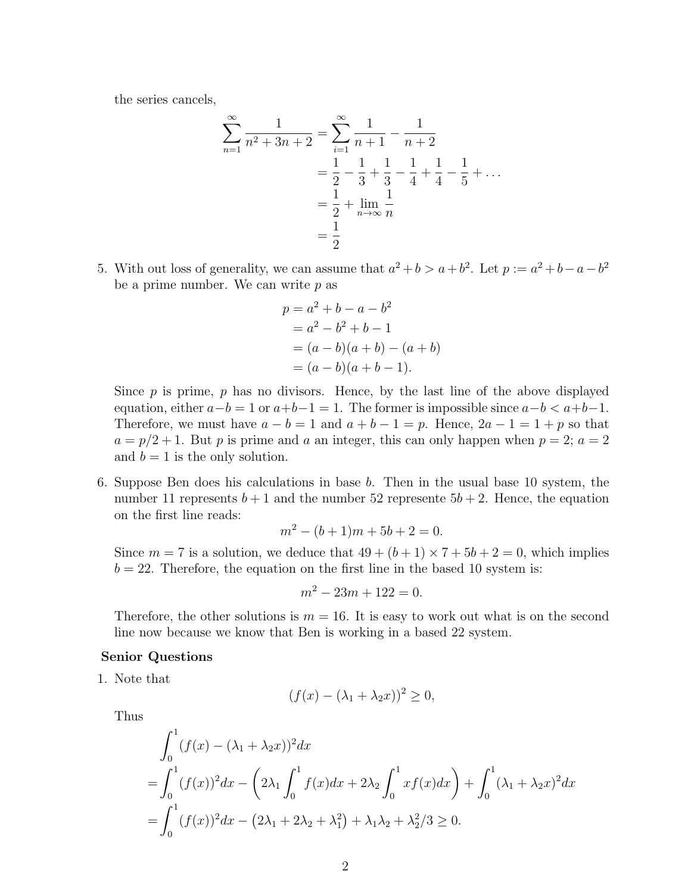the series cancels,

$$
\sum_{n=1}^{\infty} \frac{1}{n^2 + 3n + 2} = \sum_{i=1}^{\infty} \frac{1}{n+1} - \frac{1}{n+2}
$$
  
=  $\frac{1}{2} - \frac{1}{3} + \frac{1}{3} - \frac{1}{4} + \frac{1}{4} - \frac{1}{5} + \dots$   
=  $\frac{1}{2} + \lim_{n \to \infty} \frac{1}{n}$   
=  $\frac{1}{2}$ 

5. With out loss of generality, we can assume that  $a^2 + b > a + b^2$ . Let  $p := a^2 + b - a - b^2$ be a prime number. We can write  $p$  as

$$
p = a2 + b - a - b2
$$
  
= a<sup>2</sup> - b<sup>2</sup> + b - 1  
= (a - b)(a + b) - (a + b)  
= (a - b)(a + b - 1).

Since  $p$  is prime,  $p$  has no divisors. Hence, by the last line of the above displayed equation, either  $a-b = 1$  or  $a+b-1 = 1$ . The former is impossible since  $a-b < a+b-1$ . Therefore, we must have  $a - b = 1$  and  $a + b - 1 = p$ . Hence,  $2a - 1 = 1 + p$  so that  $a = p/2 + 1$ . But p is prime and a an integer, this can only happen when  $p = 2$ ;  $a = 2$ and  $b = 1$  is the only solution.

6. Suppose Ben does his calculations in base b. Then in the usual base 10 system, the number 11 represents  $b + 1$  and the number 52 represente  $5b + 2$ . Hence, the equation on the first line reads:

$$
m^2 - (b+1)m + 5b + 2 = 0.
$$

Since  $m = 7$  is a solution, we deduce that  $49 + (b + 1) \times 7 + 5b + 2 = 0$ , which implies  $b = 22$ . Therefore, the equation on the first line in the based 10 system is:

$$
m^2 - 23m + 122 = 0.
$$

Therefore, the other solutions is  $m = 16$ . It is easy to work out what is on the second line now because we know that Ben is working in a based 22 system.

## Senior Questions

1. Note that

$$
(f(x) - (\lambda_1 + \lambda_2 x))^2 \ge 0,
$$

Thus

$$
\int_0^1 (f(x) - (\lambda_1 + \lambda_2 x))^2 dx
$$
  
= 
$$
\int_0^1 (f(x))^2 dx - (2\lambda_1 \int_0^1 f(x) dx + 2\lambda_2 \int_0^1 x f(x) dx) + \int_0^1 (\lambda_1 + \lambda_2 x)^2 dx
$$
  
= 
$$
\int_0^1 (f(x))^2 dx - (2\lambda_1 + 2\lambda_2 + \lambda_1^2) + \lambda_1 \lambda_2 + \lambda_2^2 / 3 \ge 0.
$$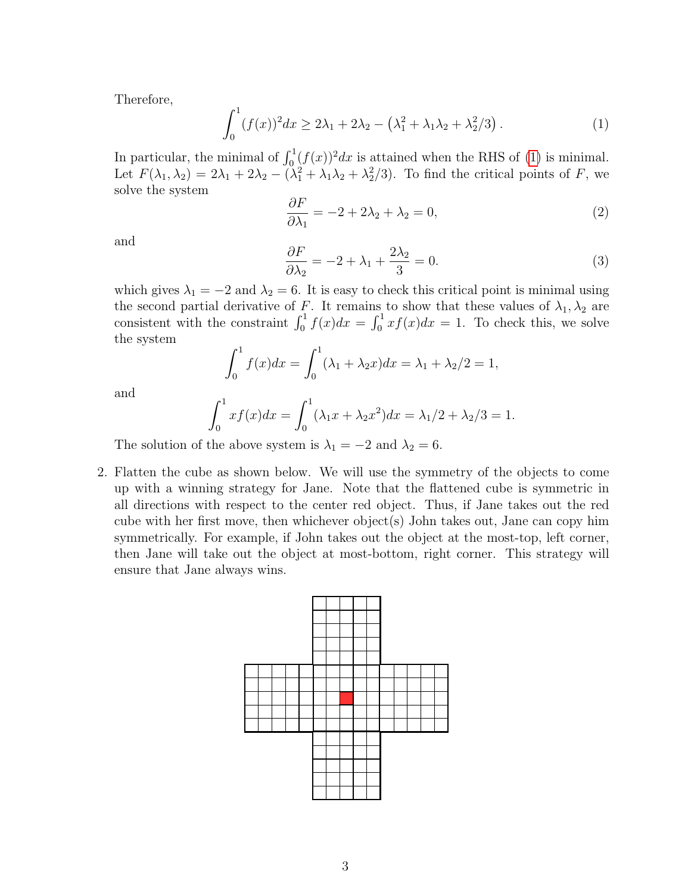Therefore,

<span id="page-2-0"></span>
$$
\int_0^1 (f(x))^2 dx \ge 2\lambda_1 + 2\lambda_2 - (\lambda_1^2 + \lambda_1\lambda_2 + \lambda_2^2/3).
$$
 (1)

In particular, the minimal of  $\int_0^1 (f(x))^2 dx$  is attained when the RHS of [\(1\)](#page-2-0) is minimal. Let  $F(\lambda_1, \lambda_2) = 2\lambda_1 + 2\lambda_2 - (\lambda_1^2 + \lambda_1\lambda_2 + \lambda_2^2/3)$ . To find the critical points of F, we solve the system

$$
\frac{\partial F}{\partial \lambda_1} = -2 + 2\lambda_2 + \lambda_2 = 0,\tag{2}
$$

and

$$
\frac{\partial F}{\partial \lambda_2} = -2 + \lambda_1 + \frac{2\lambda_2}{3} = 0.
$$
\n(3)

which gives  $\lambda_1 = -2$  and  $\lambda_2 = 6$ . It is easy to check this critical point is minimal using the second partial derivative of F. It remains to show that these values of  $\lambda_1, \lambda_2$  are consistent with the constraint  $\int_0^1 f(x)dx = \int_0^1 xf(x)dx = 1$ . To check this, we solve the system

$$
\int_0^1 f(x)dx = \int_0^1 (\lambda_1 + \lambda_2 x)dx = \lambda_1 + \lambda_2/2 = 1,
$$

and

$$
\int_0^1 x f(x) dx = \int_0^1 (\lambda_1 x + \lambda_2 x^2) dx = \lambda_1 / 2 + \lambda_2 / 3 = 1.
$$

The solution of the above system is  $\lambda_1 = -2$  and  $\lambda_2 = 6$ .

2. Flatten the cube as shown below. We will use the symmetry of the objects to come up with a winning strategy for Jane. Note that the flattened cube is symmetric in all directions with respect to the center red object. Thus, if Jane takes out the red cube with her first move, then whichever object(s) John takes out, Jane can copy him symmetrically. For example, if John takes out the object at the most-top, left corner, then Jane will take out the object at most-bottom, right corner. This strategy will ensure that Jane always wins.